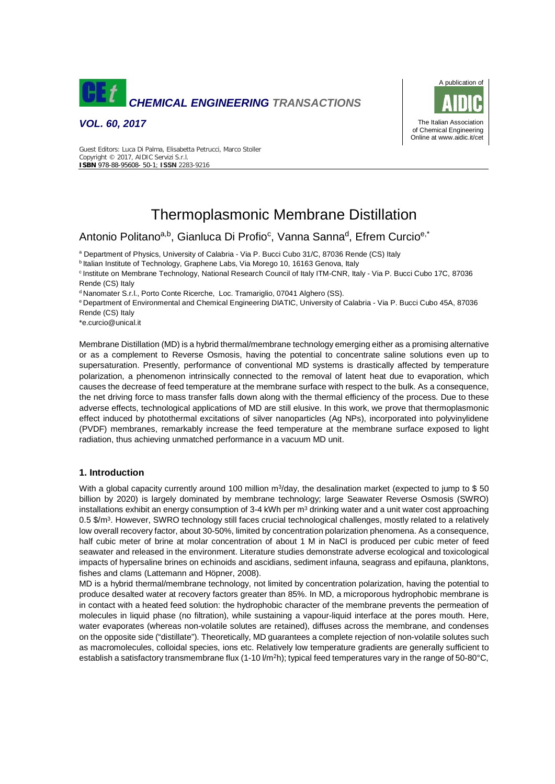

*VOL. 60, 2017*



Guest Editors: Luca Di Palma, Elisabetta Petrucci, Marco Stoller Copyright © 2017, AIDIC Servizi S.r.l. **ISBN** 978-88-95608- 50-1; **ISSN** 2283-9216

# Thermoplasmonic Membrane Distillation

## Antonio Politanoa,b, Gianluca Di Profio<sup>c</sup>, Vanna Sanna<sup>d</sup>, Efrem Curcio<sup>e,\*</sup>

<sup>a</sup> Department of Physics, University of Calabria - Via P. Bucci Cubo 31/C, 87036 Rende (CS) Italy

<sup>b</sup> Italian Institute of Technology, Graphene Labs, Via Morego 10, 16163 Genova, Italy

<sup>c</sup> Institute on Membrane Technology, National Research Council of Italy ITM-CNR, Italy - Via P. Bucci Cubo 17C, 87036 Rende (CS) Italy

<sup>d</sup> Nanomater S.r.l., Porto Conte Ricerche, Loc. Tramariglio, 07041 Alghero (SS).

<sup>e</sup> Department of Environmental and Chemical Engineering DIATIC, University of Calabria - Via P. Bucci Cubo 45A, 87036 Rende (CS) Italy

\*e.curcio@unical.it

Membrane Distillation (MD) is a hybrid thermal/membrane technology emerging either as a promising alternative or as a complement to Reverse Osmosis, having the potential to concentrate saline solutions even up to supersaturation. Presently, performance of conventional MD systems is drastically affected by temperature polarization, a phenomenon intrinsically connected to the removal of latent heat due to evaporation, which causes the decrease of feed temperature at the membrane surface with respect to the bulk. As a consequence, the net driving force to mass transfer falls down along with the thermal efficiency of the process. Due to these adverse effects, technological applications of MD are still elusive. In this work, we prove that thermoplasmonic effect induced by photothermal excitations of silver nanoparticles (Ag NPs), incorporated into polyvinylidene (PVDF) membranes, remarkably increase the feed temperature at the membrane surface exposed to light radiation, thus achieving unmatched performance in a vacuum MD unit.

### **1. Introduction**

With a global capacity currently around 100 million m<sup>3</sup>/day, the desalination market (expected to jump to \$50 billion by 2020) is largely dominated by membrane technology; large Seawater Reverse Osmosis (SWRO) installations exhibit an energy consumption of 3-4 kWh per  $m<sup>3</sup>$  drinking water and a unit water cost approaching 0.5 \$/ $m<sup>3</sup>$ . However, SWRO technology still faces crucial technological challenges, mostly related to a relatively low overall recovery factor, about 30-50%, limited by concentration polarization phenomena. As a consequence, half cubic meter of brine at molar concentration of about 1 M in NaCl is produced per cubic meter of feed seawater and released in the environment. Literature studies demonstrate adverse ecological and toxicological impacts of hypersaline brines on echinoids and ascidians, sediment infauna, seagrass and epifauna, planktons, fishes and clams (Lattemann and Höpner, 2008).

MD is a hybrid thermal/membrane technology, not limited by concentration polarization, having the potential to produce desalted water at recovery factors greater than 85%. In MD, a microporous hydrophobic membrane is in contact with a heated feed solution: the hydrophobic character of the membrane prevents the permeation of molecules in liquid phase (no filtration), while sustaining a vapour-liquid interface at the pores mouth. Here, water evaporates (whereas non-volatile solutes are retained), diffuses across the membrane, and condenses on the opposite side ("distillate"). Theoretically, MD guarantees a complete rejection of non-volatile solutes such as macromolecules, colloidal species, ions etc. Relatively low temperature gradients are generally sufficient to establish a satisfactory transmembrane flux (1-10 l/m<sup>2</sup>h); typical feed temperatures vary in the range of 50-80°C,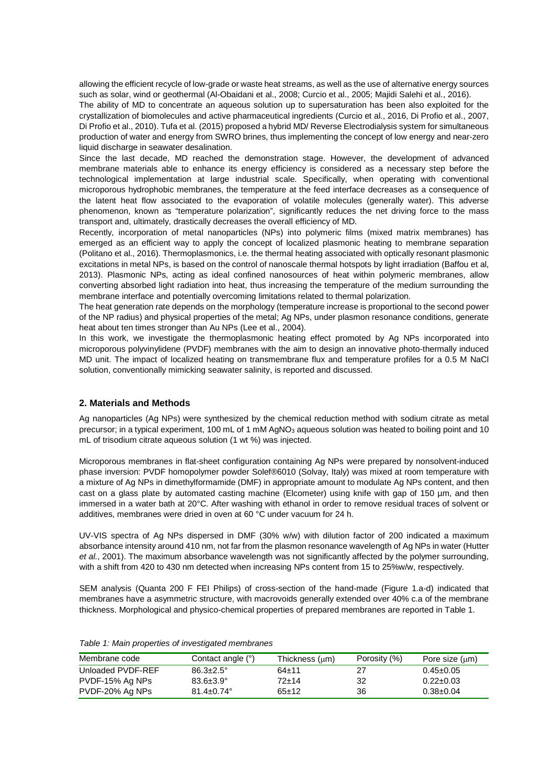allowing the efficient recycle of low-grade or waste heat streams, as well as the use of alternative energy sources such as solar, wind or geothermal (Al-Obaidani et al., 2008; Curcio et al., 2005; Majidi Salehi et al., 2016). The ability of MD to concentrate an aqueous solution up to supersaturation has been also exploited for the crystallization of biomolecules and active pharmaceutical ingredients (Curcio et al., 2016, Di Profio et al., 2007, Di Profio et al., 2010). Tufa et al. (2015) proposed a hybrid MD/ Reverse Electrodialysis system for simultaneous production of water and energy from SWRO brines, thus implementing the concept of low energy and near-zero liquid discharge in seawater desalination.

Since the last decade, MD reached the demonstration stage. However, the development of advanced membrane materials able to enhance its energy efficiency is considered as a necessary step before the technological implementation at large industrial scale. Specifically, when operating with conventional microporous hydrophobic membranes, the temperature at the feed interface decreases as a consequence of the latent heat flow associated to the evaporation of volatile molecules (generally water). This adverse phenomenon, known as "temperature polarization", significantly reduces the net driving force to the mass transport and, ultimately, drastically decreases the overall efficiency of MD.

Recently, incorporation of metal nanoparticles (NPs) into polymeric films (mixed matrix membranes) has emerged as an efficient way to apply the concept of localized plasmonic heating to membrane separation (Politano et al., 2016). Thermoplasmonics, i.e. the thermal heating associated with optically resonant plasmonic excitations in metal NPs, is based on the control of nanoscale thermal hotspots by light irradiation (Baffou et al, 2013). Plasmonic NPs, acting as ideal confined nanosources of heat within polymeric membranes, allow converting absorbed light radiation into heat, thus increasing the temperature of the medium surrounding the membrane interface and potentially overcoming limitations related to thermal polarization.

The heat generation rate depends on the morphology (temperature increase is proportional to the second power of the NP radius) and physical properties of the metal; Ag NPs, under plasmon resonance conditions, generate heat about ten times stronger than Au NPs (Lee et al., 2004).

In this work, we investigate the thermoplasmonic heating effect promoted by Ag NPs incorporated into microporous polyvinylidene (PVDF) membranes with the aim to design an innovative photo-thermally induced MD unit. The impact of localized heating on transmembrane flux and temperature profiles for a 0.5 M NaCl solution, conventionally mimicking seawater salinity, is reported and discussed.

## **2. Materials and Methods**

Ag nanoparticles (Ag NPs) were synthesized by the chemical reduction method with sodium citrate as metal precursor; in a typical experiment, 100 mL of 1 mM AgNO<sub>3</sub> aqueous solution was heated to boiling point and 10 mL of trisodium citrate aqueous solution (1 wt %) was injected.

Microporous membranes in flat-sheet configuration containing Ag NPs were prepared by nonsolvent-induced phase inversion: PVDF homopolymer powder Solef®6010 (Solvay, Italy) was mixed at room temperature with a mixture of Ag NPs in dimethylformamide (DMF) in appropriate amount to modulate Ag NPs content, and then cast on a glass plate by automated casting machine (Elcometer) using knife with gap of 150 µm, and then immersed in a water bath at 20°C. After washing with ethanol in order to remove residual traces of solvent or additives, membranes were dried in oven at 60 °C under vacuum for 24 h.

UV-VIS spectra of Ag NPs dispersed in DMF (30% w/w) with dilution factor of 200 indicated a maximum absorbance intensity around 410 nm, not far from the plasmon resonance wavelength of Ag NPs in water (Hutter *et al.*, 2001). The maximum absorbance wavelength was not significantly affected by the polymer surrounding, with a shift from 420 to 430 nm detected when increasing NPs content from 15 to 25%w/w, respectively.

SEM analysis (Quanta 200 F FEI Philips) of cross-section of the hand-made (Figure 1.a-d) indicated that membranes have a asymmetric structure, with macrovoids generally extended over 40% c.a of the membrane thickness. Morphological and physico-chemical properties of prepared membranes are reported in Table 1.

| Membrane code     | Contact angle (°)       | Thickness (um) | Porosity (%) | Pore size $(\mu m)$ |
|-------------------|-------------------------|----------------|--------------|---------------------|
| Unloaded PVDF-REF | $86.3 \pm 2.5^{\circ}$  | $64 + 11$      | 27           | $0.45 \pm 0.05$     |
| PVDF-15% Ag NPs   | $83.6 \pm 3.9^\circ$    | 72+14          | 32           | $0.22 \pm 0.03$     |
| PVDF-20% Ag NPs   | $81.4 \pm 0.74^{\circ}$ | $65+12$        | 36           | $0.38 \pm 0.04$     |

*Table 1: Main properties of investigated membranes*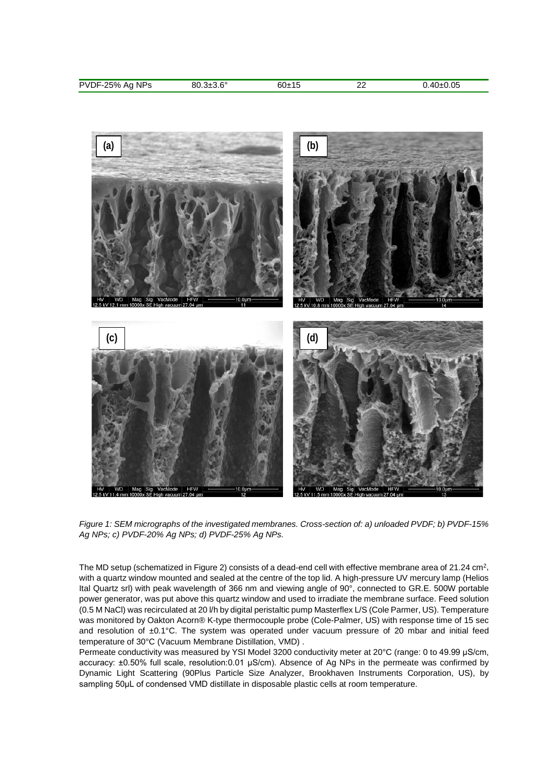| <b>NPs</b><br><b>PVDF-25%</b><br>. | C <sup>c</sup><br>יי<br>JIJ.U | o∪±1≎ | ົ<br><u>__</u> | ∩⊑<br>. ن |
|------------------------------------|-------------------------------|-------|----------------|-----------|
|                                    |                               |       |                |           |



*Figure 1: SEM micrographs of the investigated membranes. Cross-section of: a) unloaded PVDF; b) PVDF-15% Ag NPs; c) PVDF-20% Ag NPs; d) PVDF-25% Ag NPs.* 

The MD setup (schematized in Figure 2) consists of a dead-end cell with effective membrane area of 21.24 cm<sup>2</sup>, with a quartz window mounted and sealed at the centre of the top lid. A high-pressure UV mercury lamp (Helios Ital Quartz srl) with peak wavelength of 366 nm and viewing angle of 90°, connected to GR.E. 500W portable power generator, was put above this quartz window and used to irradiate the membrane surface. Feed solution (0.5 M NaCl) was recirculated at 20 l/h by digital peristaltic pump Masterflex L/S (Cole Parmer, US). Temperature was monitored by Oakton Acorn® K-type thermocouple probe (Cole-Palmer, US) with response time of 15 sec and resolution of ±0.1°C. The system was operated under vacuum pressure of 20 mbar and initial feed temperature of 30°C (Vacuum Membrane Distillation, VMD) .

Permeate conductivity was measured by YSI Model 3200 conductivity meter at 20°C (range: 0 to 49.99 μS/cm, accuracy: ±0.50% full scale, resolution:0.01 μS/cm). Absence of Ag NPs in the permeate was confirmed by Dynamic Light Scattering (90Plus Particle Size Analyzer, Brookhaven Instruments Corporation, US), by sampling 50μL of condensed VMD distillate in disposable plastic cells at room temperature.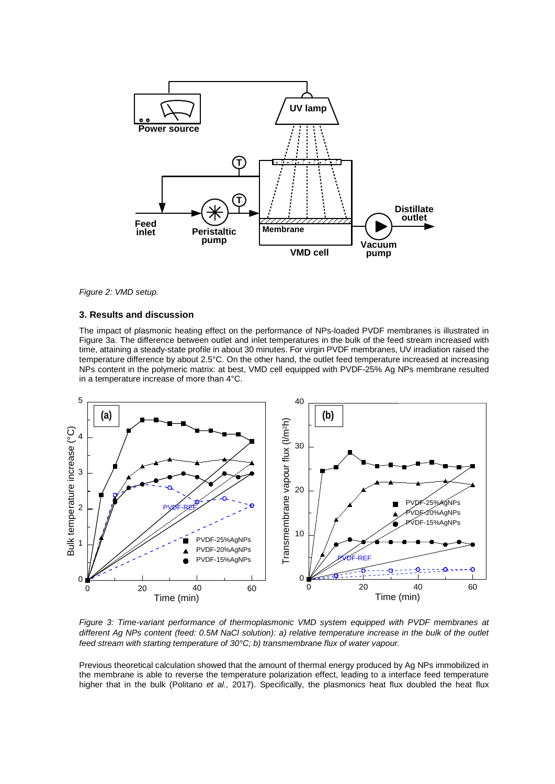

*Figure 2: VMD setup.* 

#### **3. Results and discussion**

The impact of plasmonic heating effect on the performance of NPs-loaded PVDF membranes is illustrated in Figure 3a. The difference between outlet and inlet temperatures in the bulk of the feed stream increased with time, attaining a steady-state profile in about 30 minutes. For virgin PVDF membranes, UV irradiation raised the temperature difference by about 2.5°C. On the other hand, the outlet feed temperature increased at increasing NPs content in the polymeric matrix: at best, VMD cell equipped with PVDF-25% Ag NPs membrane resulted in a temperature increase of more than 4°C.



*Figure 3: Time-variant performance of thermoplasmonic VMD system equipped with PVDF membranes at different Ag NPs content (feed: 0.5M NaCl solution): a) relative temperature increase in the bulk of the outlet feed stream with starting temperature of 30°C; b) transmembrane flux of water vapour.* 

Previous theoretical calculation showed that the amount of thermal energy produced by Ag NPs immobilized in the membrane is able to reverse the temperature polarization effect, leading to a interface feed temperature higher that in the bulk (Politano *et al.,* 2017). Specifically, the plasmonics heat flux doubled the heat flux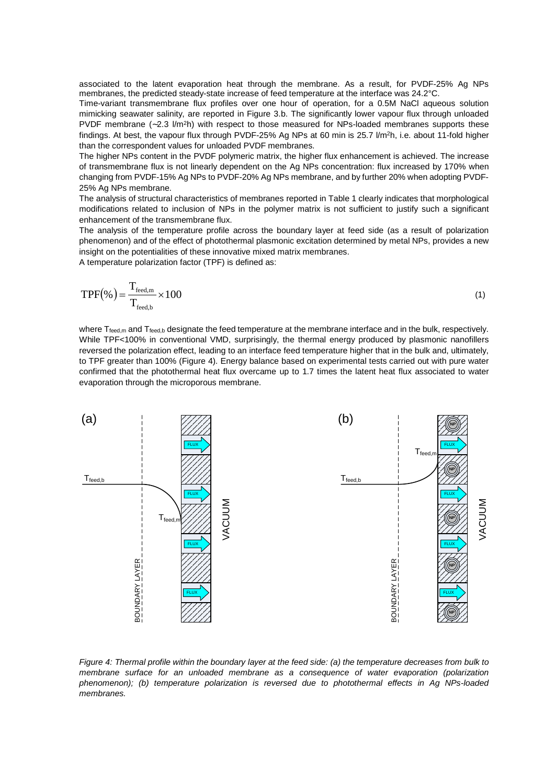associated to the latent evaporation heat through the membrane. As a result, for PVDF-25% Ag NPs membranes, the predicted steady-state increase of feed temperature at the interface was 24.2°C.

Time-variant transmembrane flux profiles over one hour of operation, for a 0.5M NaCl aqueous solution mimicking seawater salinity, are reported in Figure 3.b. The significantly lower vapour flux through unloaded PVDF membrane  $(-2.3 \text{ V/m}^2\text{h})$  with respect to those measured for NPs-loaded membranes supports these findings. At best, the vapour flux through PVDF-25% Ag NPs at 60 min is 25.7 I/m<sup>2</sup>h, i.e. about 11-fold higher than the correspondent values for unloaded PVDF membranes.

The higher NPs content in the PVDF polymeric matrix, the higher flux enhancement is achieved. The increase of transmembrane flux is not linearly dependent on the Ag NPs concentration: flux increased by 170% when changing from PVDF-15% Ag NPs to PVDF-20% Ag NPs membrane, and by further 20% when adopting PVDF-25% Ag NPs membrane.

The analysis of structural characteristics of membranes reported in Table 1 clearly indicates that morphological modifications related to inclusion of NPs in the polymer matrix is not sufficient to justify such a significant enhancement of the transmembrane flux.

The analysis of the temperature profile across the boundary layer at feed side (as a result of polarization phenomenon) and of the effect of photothermal plasmonic excitation determined by metal NPs, provides a new insight on the potentialities of these innovative mixed matrix membranes.

A temperature polarization factor (TPF) is defined as:

$$
TPF(\%) = \frac{T_{\text{feed,m}}}{T_{\text{feed,b}}} \times 100\tag{1}
$$

where  $T_{\text{feed},m}$  and  $T_{\text{feed},b}$  designate the feed temperature at the membrane interface and in the bulk, respectively. While TPF<100% in conventional VMD, surprisingly, the thermal energy produced by plasmonic nanofillers reversed the polarization effect, leading to an interface feed temperature higher that in the bulk and, ultimately, to TPF greater than 100% (Figure 4). Energy balance based on experimental tests carried out with pure water confirmed that the photothermal heat flux overcame up to 1.7 times the latent heat flux associated to water evaporation through the microporous membrane.



*Figure 4: Thermal profile within the boundary layer at the feed side: (a) the temperature decreases from bulk to membrane surface for an unloaded membrane as a consequence of water evaporation (polarization phenomenon); (b) temperature polarization is reversed due to photothermal effects in Ag NPs-loaded membranes.*